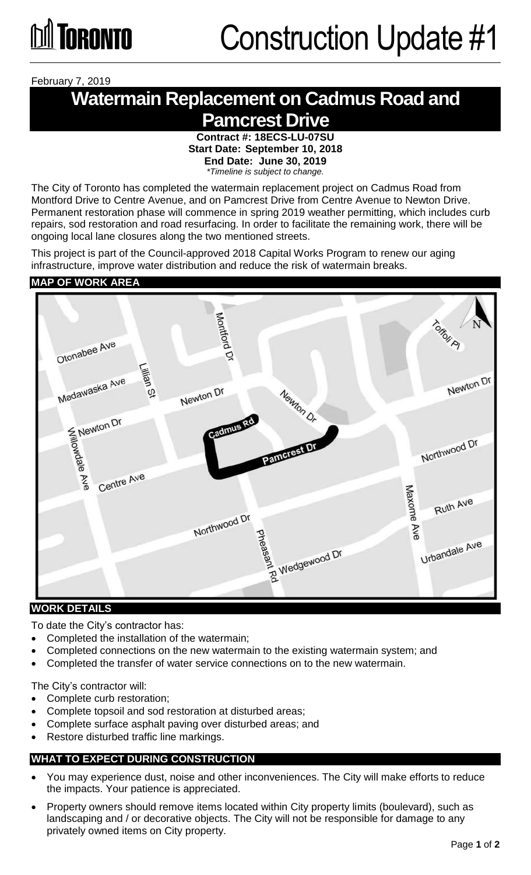February 7, 2019

## **Watermain Replacement on Cadmus Road and Pamcrest Drive**

**Contract #: 18ECS-LU-07SU Start Date: September 10, 2018 End Date: June 30, 2019** *\*Timeline is subject to change.* 

The City of Toronto has completed the watermain replacement project on Cadmus Road from Montford Drive to Centre Avenue, and on Pamcrest Drive from Centre Avenue to Newton Drive. Permanent restoration phase will commence in spring 2019 weather permitting, which includes curb repairs, sod restoration and road resurfacing. In order to facilitate the remaining work, there will be ongoing local lane closures along the two mentioned streets.

This project is part of the Council-approved 2018 Capital Works Program to renew our aging infrastructure, improve water distribution and reduce the risk of watermain breaks.

#### **MAP OF WORK AREA**



#### **WORK DETAILS**

To date the City's contractor has:

- Completed the installation of the watermain;
- Completed connections on the new watermain to the existing watermain system; and
- Completed the transfer of water service connections on to the new watermain.

The City's contractor will:

- Complete curb restoration;
- Complete topsoil and sod restoration at disturbed areas;
- Complete surface asphalt paving over disturbed areas; and
- Restore disturbed traffic line markings.

#### **WHAT TO EXPECT DURING CONSTRUCTION**

- You may experience dust, noise and other inconveniences. The City will make efforts to reduce the impacts. Your patience is appreciated.
- Property owners should remove items located within City property limits (boulevard), such as landscaping and / or decorative objects. The City will not be responsible for damage to any privately owned items on City property.